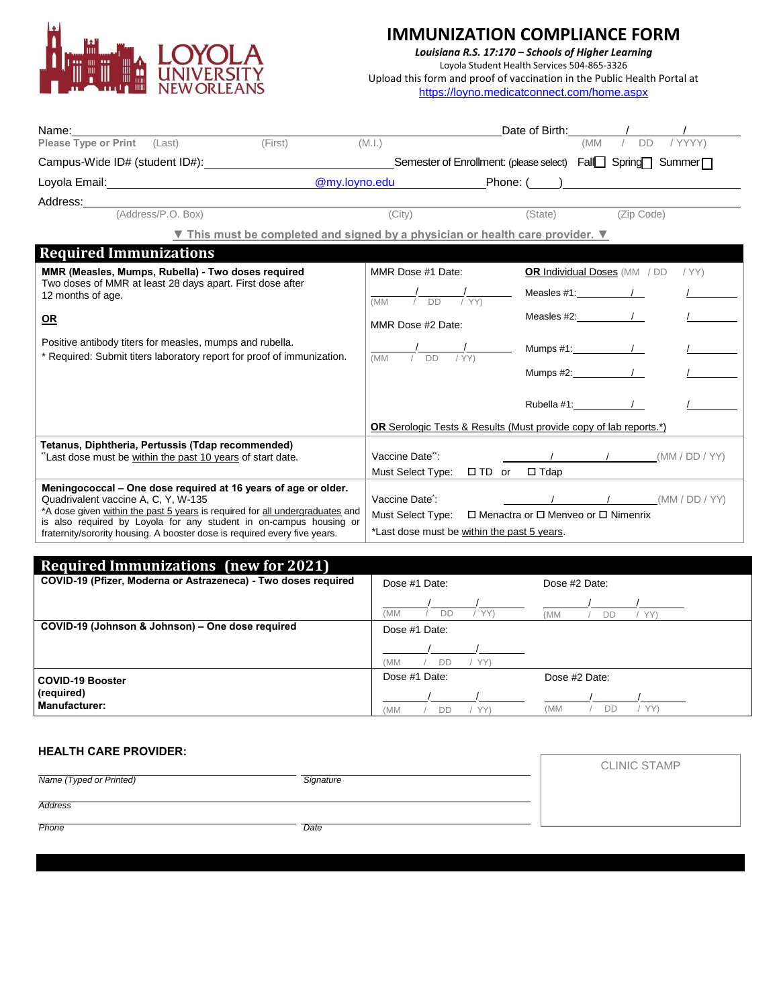

*Louisiana R.S. 17:170 – Schools of Higher Learning* Loyola Student Health Services 504-865-3326 Upload this form and proof of vaccination in the Public Health Portal at <https://loyno.medicatconnect.com/home.aspx>

| Name:                                                                                                                                                                                                                                                                                                                                    |                                                                                                                                                                                                                                                                                                                                                                                                                                                                                                                                                                              |  |  |  |
|------------------------------------------------------------------------------------------------------------------------------------------------------------------------------------------------------------------------------------------------------------------------------------------------------------------------------------------|------------------------------------------------------------------------------------------------------------------------------------------------------------------------------------------------------------------------------------------------------------------------------------------------------------------------------------------------------------------------------------------------------------------------------------------------------------------------------------------------------------------------------------------------------------------------------|--|--|--|
| (First)<br>Please Type or Print (Last)                                                                                                                                                                                                                                                                                                   | / YYYY)<br><b>DD</b><br>(M.l.)<br>(MM                                                                                                                                                                                                                                                                                                                                                                                                                                                                                                                                        |  |  |  |
| Campus-Wide ID# (student ID#): __________________________________Semester of Enrollment: (please select) Fall□ Spring□ Summer□                                                                                                                                                                                                           |                                                                                                                                                                                                                                                                                                                                                                                                                                                                                                                                                                              |  |  |  |
| Loyola Email: The Contract of the Contract of the Contract of the Contract of the Contract of the Contract of the Contract of the Contract of the Contract of the Contract of the Contract of the Contract of the Contract of                                                                                                            |                                                                                                                                                                                                                                                                                                                                                                                                                                                                                                                                                                              |  |  |  |
| Address: Analysis and the set of the set of the set of the set of the set of the set of the set of the set of the set of the set of the set of the set of the set of the set of the set of the set of the set of the set of th                                                                                                           |                                                                                                                                                                                                                                                                                                                                                                                                                                                                                                                                                                              |  |  |  |
| (Address/P.O. Box)                                                                                                                                                                                                                                                                                                                       | (City)<br>(State)<br>(Zip Code)                                                                                                                                                                                                                                                                                                                                                                                                                                                                                                                                              |  |  |  |
|                                                                                                                                                                                                                                                                                                                                          | V This must be completed and signed by a physician or health care provider. V                                                                                                                                                                                                                                                                                                                                                                                                                                                                                                |  |  |  |
| <b>Required Immunizations</b>                                                                                                                                                                                                                                                                                                            |                                                                                                                                                                                                                                                                                                                                                                                                                                                                                                                                                                              |  |  |  |
| MMR (Measles, Mumps, Rubella) - Two doses required<br>Two doses of MMR at least 28 days apart. First dose after<br>12 months of age.                                                                                                                                                                                                     | MMR Dose #1 Date:<br>OR Individual Doses (MM / DD<br>/YY)                                                                                                                                                                                                                                                                                                                                                                                                                                                                                                                    |  |  |  |
|                                                                                                                                                                                                                                                                                                                                          | Measles $#1:$ /<br>$\frac{1}{\sqrt{1-\frac{1}{\sqrt{1-\frac{1}{\sqrt{1-\frac{1}{\sqrt{1-\frac{1}{\sqrt{1-\frac{1}{\sqrt{1-\frac{1}{\sqrt{1-\frac{1}{\sqrt{1-\frac{1}{\sqrt{1-\frac{1}{\sqrt{1-\frac{1}{\sqrt{1-\frac{1}{\sqrt{1-\frac{1}{\sqrt{1-\frac{1}{\sqrt{1-\frac{1}{\sqrt{1-\frac{1}{\sqrt{1-\frac{1}{\sqrt{1-\frac{1}{\sqrt{1-\frac{1}{\sqrt{1-\frac{1}{\sqrt{1-\frac{1}{\sqrt{1-\frac{1}{\sqrt{1-\frac{1}{\sqrt{1-\frac{1}{\sqrt{1-\frac{1$<br>(MM)                                                                                                                 |  |  |  |
| $OR$                                                                                                                                                                                                                                                                                                                                     | Measles $#2$ : $\qquad \qquad \frac{1}{2}$<br>MMR Dose #2 Date:                                                                                                                                                                                                                                                                                                                                                                                                                                                                                                              |  |  |  |
| Positive antibody titers for measles, mumps and rubella.<br>* Required: Submit titers laboratory report for proof of immunization.                                                                                                                                                                                                       | $\frac{1}{1}$ DD<br>$\frac{1}{\sqrt{Y}}$<br>(MM)                                                                                                                                                                                                                                                                                                                                                                                                                                                                                                                             |  |  |  |
|                                                                                                                                                                                                                                                                                                                                          | Mumps #2: /                                                                                                                                                                                                                                                                                                                                                                                                                                                                                                                                                                  |  |  |  |
|                                                                                                                                                                                                                                                                                                                                          | Rubella #1: $\sqrt{2}$                                                                                                                                                                                                                                                                                                                                                                                                                                                                                                                                                       |  |  |  |
|                                                                                                                                                                                                                                                                                                                                          | <b>OR</b> Serologic Tests & Results (Must provide copy of lab reports.*)                                                                                                                                                                                                                                                                                                                                                                                                                                                                                                     |  |  |  |
| Tetanus, Diphtheria, Pertussis (Tdap recommended)<br>"Last dose must be within the past 10 years of start date.                                                                                                                                                                                                                          | Vaccine Date":<br>$\sqrt{1}$ $\sqrt{1}$ $(MM/DD/YY)$<br>Must Select Type: □ TD or □ Tdap                                                                                                                                                                                                                                                                                                                                                                                                                                                                                     |  |  |  |
| Meningococcal – One dose required at 16 years of age or older.<br>Quadrivalent vaccine A, C, Y, W-135<br>*A dose given within the past 5 years is required for all undergraduates and<br>is also required by Loyola for any student in on-campus housing or<br>fraternity/sorority housing. A booster dose is required every five years. | $\frac{1}{\sqrt{1-\frac{1}{\sqrt{1-\frac{1}{\sqrt{1-\frac{1}{\sqrt{1-\frac{1}{\sqrt{1-\frac{1}{\sqrt{1-\frac{1}{\sqrt{1-\frac{1}{\sqrt{1-\frac{1}{\sqrt{1-\frac{1}{\sqrt{1-\frac{1}{\sqrt{1-\frac{1}{\sqrt{1-\frac{1}{\sqrt{1-\frac{1}{\sqrt{1-\frac{1}{\sqrt{1-\frac{1}{\sqrt{1-\frac{1}{\sqrt{1-\frac{1}{\sqrt{1-\frac{1}{\sqrt{1-\frac{1}{\sqrt{1-\frac{1}{\sqrt{1-\frac{1}{\sqrt{1-\frac{1}{\sqrt{1-\frac{1}{\sqrt{1-\frac{1$<br>Vaccine Date <sup>*</sup> :<br>□ Menactra or □ Menveo or □ Nimenrix<br>Must Select Type:<br>*Last dose must be within the past 5 years. |  |  |  |

| <b>Required Immunizations (new for 2021)</b>                   |                               |                  |
|----------------------------------------------------------------|-------------------------------|------------------|
| COVID-19 (Pfizer, Moderna or Astrazeneca) - Two doses required | Dose #1 Date:                 | Dose #2 Date:    |
|                                                                | (MM<br>YY<br>DD               | YY<br>(MM<br>DD  |
| COVID-19 (Johnson & Johnson) – One dose required               | Dose #1 Date:                 |                  |
|                                                                | DD<br><b>YY'</b><br><b>MM</b> |                  |
| COVID-19 Booster                                               | Dose #1 Date:                 | Dose #2 Date:    |
| (required)<br><b>Manufacturer:</b>                             | MM)<br>DD                     | YY)<br>(MM<br>DD |

### **HEALTH CARE PROVIDER:**

*Name (Typed or Printed) Signature Address Phone Date* CLINIC STAMP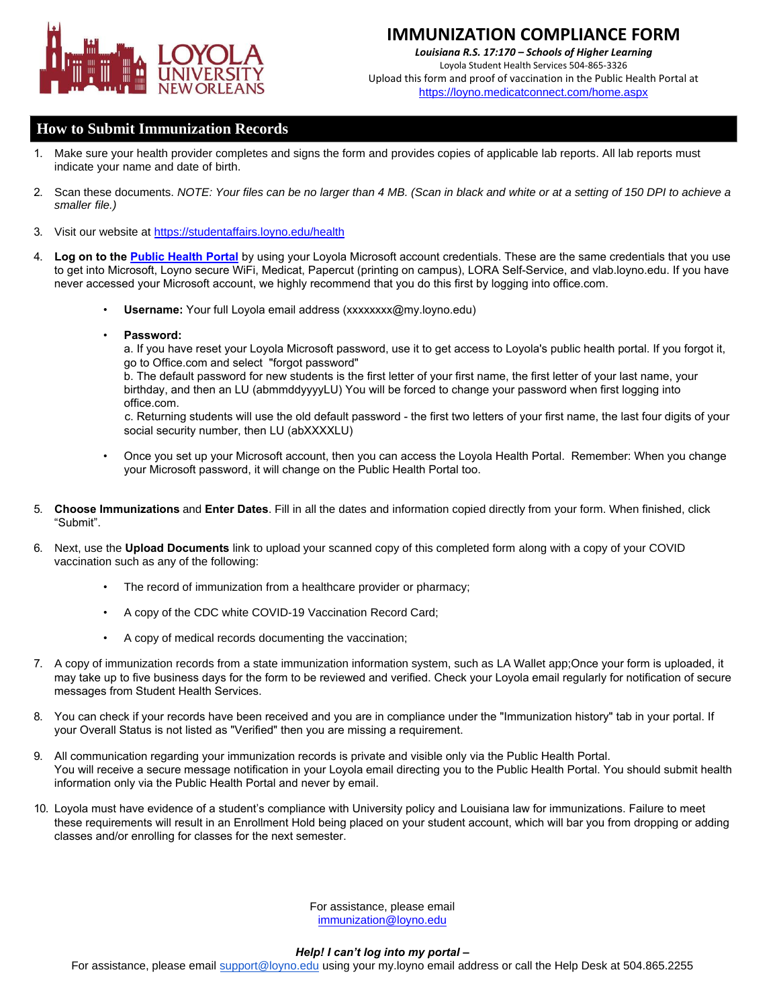

*Louisiana R.S. 17:170 – Schools of Higher Learning* Loyola Student Health Services 504-865-3326 Upload this form and proof of vaccination in the Public Health Portal at <https://loyno.medicatconnect.com/home.aspx>

### **How to Submit Immunization Records**

- 1. Make sure your health provider completes and signs the form and provides copies of applicable lab reports. All lab reports must indicate your name and date of birth.
- 2. Scan these documents. *NOTE: Your files can be no larger than 4 MB. (Scan in black and white or at a setting of 150 DPI to achieve a smaller file.)*
- 3. Visit our website at ht[tps://studentaffairs.loyno.edu/health](https://studentaffairs.loyno.edu/health)
- 4. **Log on to the [Public Health Portal](https://loyno.medicatconnect.com/home.aspx)** by using your Loyola Microsoft account credentials. These are the same credentials that you use to get into Microsoft, Loyno secure WiFi, Medicat, Papercut (printing on campus), LORA Self-Service, and vlab.loyno.edu. If you have never accessed your Microsoft account, we highly recommend that you do this first by logging into office.com.
	- **Username:** Your full Loyola email address (xxxxxxxx@my.loyno.edu)
	- **Password:**

a. If you have reset your Loyola Microsoft password, use it to get access to Loyola's public health portal. If you forgot it, go to Office.com and select "forgot password"

b. The default password for new students is the first letter of your first name, the first letter of your last name, your birthday, and then an LU (abmmddyyyyLU) You will be forced to change your password when first logging into office.com.

c. Returning students will use the old default password - the first two letters of your first name, the last four digits of your social security number, then LU (abXXXXLU)

- Once you set up your Microsoft account, then you can access the Loyola Health Portal. Remember: When you change your Microsoft password, it will change on the Public Health Portal too.
- 5. **Choose Immunizations** and **Enter Dates**. Fill in all the dates and information copied directly from your form. When finished, click "Submit".
- 6. Next, use the **Upload Documents** link to upload your scanned copy of this completed form along with a copy of your COVID vaccination such as any of the following:
	- The record of immunization from a healthcare provider or pharmacy;
	- A copy of the CDC white COVID-19 Vaccination Record Card;
	- A copy of medical records documenting the vaccination;
- 7. A copy of immunization records from a state immunization information system, such as LA Wallet app;Once your form is uploaded, it may take up to five business days for the form to be reviewed and verified. Check your Loyola email regularly for notification of secure messages from Student Health Services.
- 8. You can check if your records have been received and you are in compliance under the "Immunization history" tab in your portal. If your Overall Status is not listed as "Verified" then you are missing a requirement.
- 9. All communication regarding your immunization records is private and visible only via the Public Health Portal. You will receive a secure message notification in [your Loyola email directing you](mailto:immunizations@loyno.edu) to the Public Health Portal. You should submit health information only via the Public Health Portal and never by email.
- 10. Loyola must have evidence of a student's compliance with University policy and Louisiana law for immunizations. Failure to meet these requirements will result in an Enrollment Hold being placed on your student account, which will bar you from dropping or adding classes and/or enrolling for classes for the next semester.

For assistance, please email immunization@loyno.edu

#### *Help! I can't log into my portal* **–**

For assistance, please email support@loyno.edu using your my.loyno email address or call the Help Desk at 504.865.2255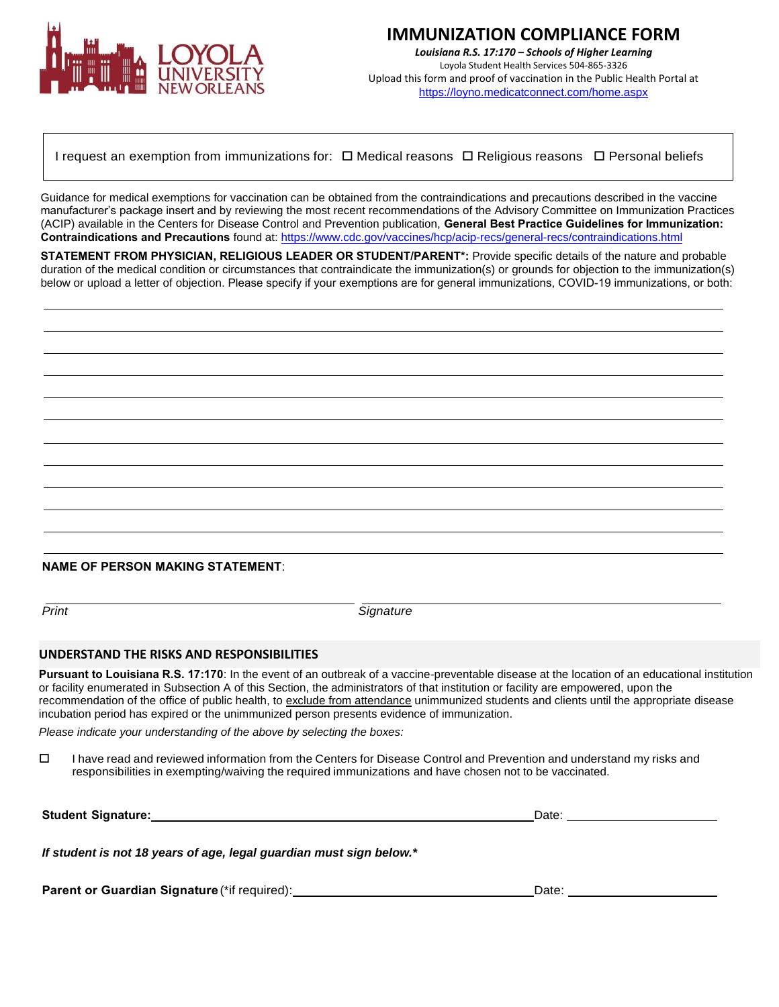

*Louisiana R.S. 17:170 – Schools of Higher Learning* Loyola Student Health Services 504-865-3326 Upload this form and proof of vaccination in the Public Health Portal at <https://loyno.medicatconnect.com/home.aspx>

I request an exemption from immunizations for:  $\Box$  Medical reasons  $\Box$  Religious reasons  $\Box$  Personal beliefs

Guidance for medical exemptions for vaccination can be obtained from the contraindications and precautions described in the vaccine manufacturer's package insert and by reviewing the most recent recommendations of the Advisory Committee on Immunization Practices (ACIP) available in the Centers for Disease Control and Prevention publication, **General Best Practice Guidelines for Immunization: Contraindications and Precautions** found at:<https://www.cdc.gov/vaccines/hcp/acip-recs/general-recs/contraindications.html>

**STATEMENT FROM PHYSICIAN, RELIGIOUS LEADER OR STUDENT/PARENT\*:** Provide specific details of the nature and probable duration of the medical condition or circumstances that contraindicate the immunization(s) or grounds for objection to the immunization(s) below or upload a letter of objection. Please specify if your exemptions are for general immunizations, COVID-19 immunizations, or both:

**NAME OF PERSON MAKING STATEMENT**:

**Print** Signature

### **UNDERSTAND THE RISKS AND RESPONSIBILITIES**

**Pursuant to Louisiana R.S. 17:170**: In the event of an outbreak of a vaccine-preventable disease at the location of an educational institution or facility enumerated in Subsection A of this Section, the administrators of that institution or facility are empowered, upon the recommendation of the office of public health, to exclude from attendance unimmunized students and clients until the appropriate disease incubation period has expired or the unimmunized person presents evidence of immunization.

*Please indicate your understanding of the above by selecting the boxes:*

 $\Box$  I have read and reviewed information from the Centers for Disease Control and Prevention and understand my risks and responsibilities in exempting/waiving the required immunizations and have chosen not to be vaccinated.

| <b>Student Signature:</b>                                           | Date: |  |
|---------------------------------------------------------------------|-------|--|
| If student is not 18 years of age, legal guardian must sign below.* |       |  |
| Parent or Guardian Signature (*if required):                        | Date: |  |